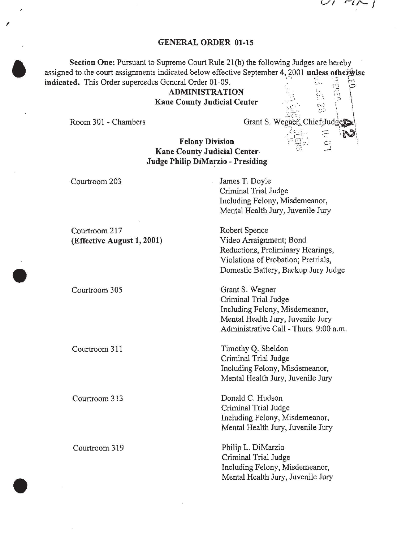$\lceil \sqrt{2} \rceil$ 

#### GENERAL ORDER 01-15

Section One: Pursuant to Supreme Court Rule 21(b) the following Judges are hereby assigned to the court assignments indicated below effective September 4, 2001 unless otherwise indicated. This Order supercedes General Order 01-09.

> ADMINISTRATION Kane County Judicial Center

Room 301 - Chambers

,

Grant S. Wegner, Chief<sub>p</sub>ly

Felony Division Kane County Judicial Center Judge Philip DiMarzio - Presiding

Courtroom 203 Courtroom 217 James T. Doyle Criminal Trial Judge Including Felony, Misdemeanor, Mental Health Jury, Juvenile Jury Robert Spence (Effective August 1, 2001) Video Arraignment; Bond Reductions, Preliminary Hearings, Violations of Probation; Pretrials, Domestic Battery, Backup Jury Judge Courtroom 305 Courtroom 311 Courtroom 313 Courtroom 319 Grant S. Wegner Criminal Trial Judge Including Felony, Misdemeanor, Mental Health Jury, Juvenile Jury Administrative Call -Thurs. 9:00 a.m. Timothy Q. Sheldon Criminal Trial Judge Including Felony, Misdemeanor, Mental Health Jury, Juvenile Jury Donald C. Hudson Criminal Trial Judge Including Felony, Misdemeanor, Mental Health Jury, Juvenile Jury Philip L. DiMarzio Criminal Trial Judge Including Felony, Misdemeanor, Mental Health Jury, Juvenile Jury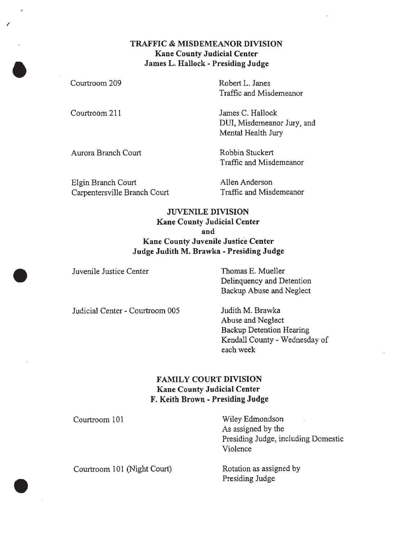# TRAFFIC & MISDEMEANOR DIVISION Kane County Judicial Center James L. Hallock- Presiding Judge

| Courtroom 209       | Robert L. Janes<br>Traffic and Misdemeanor                           |
|---------------------|----------------------------------------------------------------------|
| Courtroom 211       | James C. Hallock<br>DUI, Misdemeanor Jury, and<br>Mental Health Jury |
| Aurora Branch Court | Robbin Stuckert<br>Traffic and Misdemeanor                           |
|                     |                                                                      |

Elgin Branch Court Carpentersville Branch Court Allen Anderson Traffic and Misdemeanor

# **JUVENILE DIVISION** Kane County Judicial Center and Kane County Juvenile Justice Center Judge Judith M. Brawka - Presiding Judge

Juvenile Justice Center Thomas E. Mueller Delinquency and Detention Backup Abuse and Neglect

Judicial Center - Courtroom 005 Judith M. Brawka

Abuse and Neglect Backup Detention Hearing Kendall County- Wednesday of each week

# FAMILY COURT DIVISION Kane County Judicial Center F. Keith Brown - Presiding Judge

Courtroom 101

Wiley Edmondson As assigned by the Presiding Judge, including Domestic Violence

Courtroom 101 (Night Court) Rotation as assigned by Presiding Judge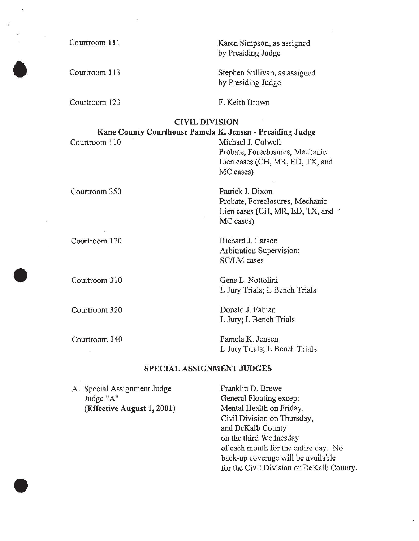| Courtroom 111                                                              | Karen Simpson, as assigned<br>by Presiding Judge    |
|----------------------------------------------------------------------------|-----------------------------------------------------|
| Courtroom 113                                                              | Stephen Sullivan, as assigned<br>by Presiding Judge |
| Courtroom 123                                                              | F. Keith Brown                                      |
| <b>CIVIL DIVISION</b>                                                      |                                                     |
| Kane County Courthouse Pamela K. Jensen - Presiding Judge<br>Courtroom 110 | Michael J. Colwell                                  |
|                                                                            | Probate, Foreclosures, Mechanic                     |
|                                                                            | Lien cases (CH, MR, ED, TX, and                     |
|                                                                            | MC cases)                                           |
| Courtroom 350                                                              | Patrick J. Dixon                                    |
|                                                                            | Probate, Foreclosures, Mechanic                     |
|                                                                            | Lien cases (CH, MR, ED, TX, and                     |
|                                                                            | MC cases)                                           |
| Courtroom 120                                                              | Richard J. Larson                                   |
|                                                                            | Arbitration Supervision;                            |
|                                                                            | <b>SC/LM</b> cases                                  |
| Courtroom 310                                                              | Gene L. Nottolini                                   |
|                                                                            | L Jury Trials; L Bench Trials                       |
| Courtroom 320                                                              | Donald J. Fabian                                    |
|                                                                            | L Jury; L Bench Trials                              |
| Courtroom 340                                                              | Pamela K. Jensen                                    |
|                                                                            | L Jury Trials; L Bench Trials                       |
| SPECIAL ASSIGNMENT JUDGES                                                  |                                                     |
| A. Special Assignment Judge                                                | Franklin D. Brewe                                   |
|                                                                            |                                                     |

Judge "A" (Effective August  $1, 2001$ ) General Floating except Mental Health on Friday, Civil Division on Thursday, and DeKalb County on the third Wednesday of each month for the entire day. No back-up coverage will be available for the Civil Division or DeKalb County.